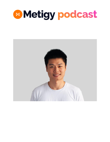

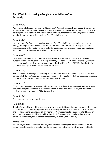# **This Week in Marketing - Google Ads with Kevin Chen Transcript**

# Daren (00:00):

Are you scared of spending money on Google ads?It's daunting to push a campaign live when you know there's a sizable budget behind it. But when done right, Google ads can return \$2 for every dollar spent on its platform, sometimes higher. To find out more about how Google ads can help your business. Listen to this episode on This Week In Marketing.

## Daren (00:26):

Hey everyone. I'm Daren Lake. And welcome to This Week In Marketing another podcast by Metigy. Each episode we answer questions or talk about one specific idea to help you market and operate your small to medium enterprise better. And we do that by making them easy to digest, short, and concise, because we've all got a business to run.

## Daren (00:47):

Don't even start planning your Google ads campaign. Before you can answer the following question, what is your customer thinking when they head to a search engine to possibly find your product or service? Metigy's performance marketing lead Kevin Chen, AKA Kev, is going to give you three easy tips to make sure your ads perform well.

## Daren (01:05):

Kev is a lawyer turned digital marketing wizard. He cares deeply about helping small businesses, particularly B2B, that's business to business with all of their digital marketing needs. You can catch him on his own podcast, The B2B Playbook. Go check that out.

## Daren (01:19):

So back to those ways to make your ads perform well. The three tips to success in Google ads are one, think like your customer. Two, understand how Google ads works. Three, how to utilize audiences as much as possible. Take it away, Kev.

Daren (01:36):

Part one, thinking like your customer.

# Kevin (01:38):

Thanks, Darren. The first thing you need to know is to start thinking like your customer. Don't start your ads until you know what people will be searching and where they're looking for information and products online. Google ads is high intent. So it's important to find the right intent based on what your customers would be searching. Just think,"How would you find that information online?" Chances are your customers are searching in exactly the same way.

## Kevin (02:06):

So how do you do this? Here are four ways you can start thinking like your customer. First, do dummy searches, pretending to be your target customer. Note down what you searched to start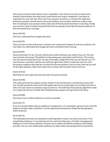that process. Second, look closely at your competitor's ads. Chances are they've done some research and testing to see what works, particularly your larger competitors. Use these as inspiration for your own ads. Third, see if you can get a customer, or a friend who might be a potential customer, and ask them to start searching for your product. And have a look at how they're looking for your product online. Take note of the keywords that they're searching. Finally, you can have a look at similar keywords like these by looking at tools like the keyword planner to find and expand your coverage.

## Daren (02:56):

Part two, understand how Google ads works.

## Kevin (02:59):

Once you have an idea of how your customers are using search engines to find your products, the next step is to understand how Google ads works and where that's moving.

## Kevin (03:09):

Sound confusing? It's not. You just need to know which elements you need to focus on. This will save you time and money. The platform is becoming more automated and AI driven. This means you can stop stressing about your ad copy. Eventually. Google will write your ad copy for you. It'll even find your customers and the ones with the right intent. What's important now is to start focusing on audience data that you can feed into the ads platform. Focus on this, that way you will hit the right audience rather than waste time on those with no intent to buy from you.

## Daren (03:42):

We'll find out more about the next part after this quick ad break.

# Daren (03:48):

This series grows by the support, hustle, and grit, from entrepreneurs and business owners like you. To help spread the word, we'd really appreciate it if you could make sure to follow and rate us with a five star review on whatever app you listen to. This will help all the podcast algorithms make sure it gets into the ears of other like-minded business people. Let's get back to the show.

## Daren (04:08):

Part three, how to utilize audiences as much as possible.

## Kevin (04:17):

First, let's quickly define what an audience in Google ads is. It's essentially a group of users that the platform has been able to identify. It can be segmented and based on things like demographics and/or behavior.

## Kevin (04:31):

The following three tools are essential to achieving better results, now and in the future. First, remarketing audiences. It can separate out new and returning users, and tailor messaging and bidding, for each of these audiences. Second, use in market and affinity audiences that Google provides. You can start adding these audiences on observation and seeing which one performs